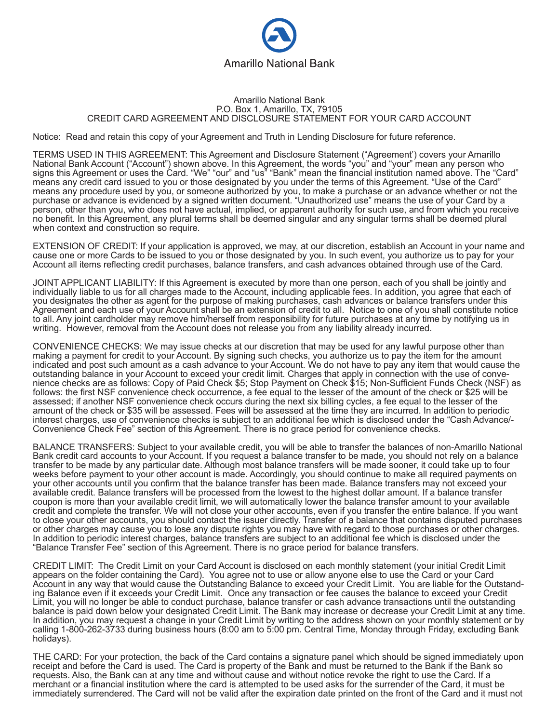

## Amarillo National Bank P.O. Box 1, Amarillo, TX, 79105 CREDIT CARD AGREEMENT AND DISCLOSURE STATEMENT FOR YOUR CARD ACCOUNT

Notice: Read and retain this copy of your Agreement and Truth in Lending Disclosure for future reference.

TERMS USED IN THIS AGREEMENT: This Agreement and Disclosure Statement ("Agreement') covers your Amarillo National Bank Account ("Account") shown above. In this Agreement, the words "you" and "your" mean any person who signs this Agreement or uses the Card. "We" "our" and "us" "Bank" mean the financial institution named above. The "Card" means any credit card issued to you or those designated by you under the terms of this Agreement. "Use of the Card" means any procedure used by you, or someone authorized by you, to make a purchase or an advance whether or not the purchase or advance is evidenced by a signed written document. "Unauthorized use" means the use of your Card by a person, other than you, who does not have actual, implied, or apparent authority for such use, and from which you receive no benefit. In this Agreement, any plural terms shall be deemed singular and any singular terms shall be deemed plural when context and construction so require.

EXTENSION OF CREDIT: If your application is approved, we may, at our discretion, establish an Account in your name and cause one or more Cards to be issued to you or those designated by you. In such event, you authorize us to pay for your Account all items reflecting credit purchases, balance transfers, and cash advances obtained through use of the Card.

JOINT APPLICANT LIABILITY: If this Agreement is executed by more than one person, each of you shall be jointly and individually liable to us for all charges made to the Account, including applicable fees. In addition, you agree that each of you designates the other as agent for the purpose of making purchases, cash advances or balance transfers under this Agreement and each use of your Account shall be an extension of credit to all. Notice to one of you shall constitute notice to all. Any joint cardholder may remove him/herself from responsibility for future purchases at any time by notifying us in writing. However, removal from the Account does not release you from any liability already incurred.

CONVENIENCE CHECKS: We may issue checks at our discretion that may be used for any lawful purpose other than making a payment for credit to your Account. By signing such checks, you authorize us to pay the item for the amount indicated and post such amount as a cash advance to your Account. We do not have to pay any item that would cause the outstanding balance in your Account to exceed your credit limit. Charges that apply in connection with the use of convenience checks are as follows: Copy of Paid Check \$5; Stop Payment on Check \$15; Non-Sufficient Funds Check (NSF) as follows: the first NSF convenience check occurrence, a fee equal to the lesser of the amount of the check or \$25 will be assessed; if another NSF convenience check occurs during the next six billing cycles, a fee equal to the lesser of the amount of the check or \$35 will be assessed. Fees will be assessed at the time they are incurred. In addition to periodic interest charges, use of convenience checks is subject to an additional fee which is disclosed under the "Cash Advance/- Convenience Check Fee" section of this Agreement. There is no grace period for convenience checks.

BALANCE TRANSFERS: Subject to your available credit, you will be able to transfer the balances of non-Amarillo National Bank credit card accounts to your Account. If you request a balance transfer to be made, you should not rely on a balance transfer to be made by any particular date. Although most balance transfers will be made sooner, it could take up to four weeks before payment to your other account is made. Accordingly, you should continue to make all required payments on your other accounts until you confirm that the balance transfer has been made. Balance transfers may not exceed your available credit. Balance transfers will be processed from the lowest to the highest dollar amount. If a balance transfer coupon is more than your available credit limit, we will automatically lower the balance transfer amount to your available credit and complete the transfer. We will not close your other accounts, even if you transfer the entire balance. If you want to close your other accounts, you should contact the issuer directly. Transfer of a balance that contains disputed purchases or other charges may cause you to lose any dispute rights you may have with regard to those purchases or other charges. In addition to periodic interest charges, balance transfers are subject to an additional fee which is disclosed under the "Balance Transfer Fee" section of this Agreement. There is no grace period for balance transfers.

CREDIT LIMIT: The Credit Limit on your Card Account is disclosed on each monthly statement (your initial Credit Limit appears on the folder containing the Card). You agree not to use or allow anyone else to use the Card or your Card Account in any way that would cause the Outstanding Balance to exceed your Credit Limit. You are liable for the Outstanding Balance even if it exceeds your Credit Limit. Once any transaction or fee causes the balance to exceed your Credit Limit, you will no longer be able to conduct purchase, balance transfer or cash advance transactions until the outstanding balance is paid down below your designated Credit Limit. The Bank may increase or decrease your Credit Limit at any time. In addition, you may request a change in your Credit Limit by writing to the address shown on your monthly statement or by calling 1-800-262-3733 during business hours (8:00 am to 5:00 pm. Central Time, Monday through Friday, excluding Bank holidays).

THE CARD: For your protection, the back of the Card contains a signature panel which should be signed immediately upon receipt and before the Card is used. The Card is property of the Bank and must be returned to the Bank if the Bank so requests. Also, the Bank can at any time and without cause and without notice revoke the right to use the Card. If a merchant or a financial institution where the card is attempted to be used asks for the surrender of the Card, it must be immediately surrendered. The Card will not be valid after the expiration date printed on the front of the Card and it must not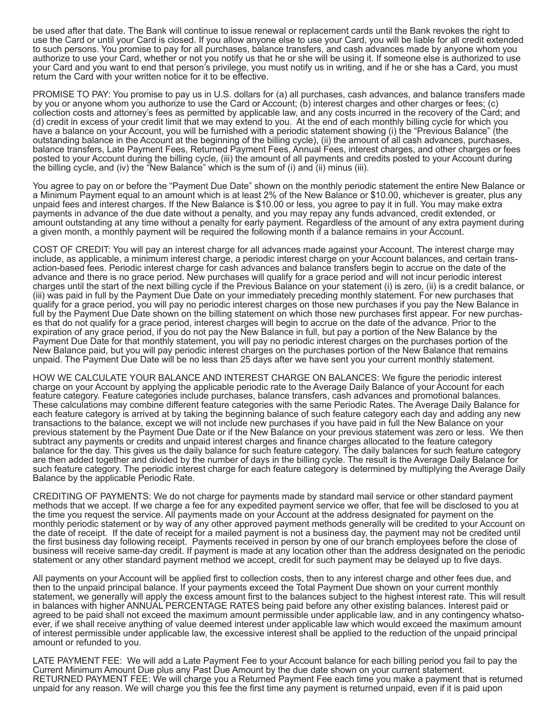be used after that date. The Bank will continue to issue renewal or replacement cards until the Bank revokes the right to use the Card or until your Card is closed. If you allow anyone else to use your Card, you will be liable for all credit extended to such persons. You promise to pay for all purchases, balance transfers, and cash advances made by anyone whom you authorize to use your Card, whether or not you notify us that he or she will be using it. If someone else is authorized to use your Card and you want to end that person's privilege, you must notify us in writing, and if he or she has a Card, you must return the Card with your written notice for it to be effective.

PROMISE TO PAY: You promise to pay us in U.S. dollars for (a) all purchases, cash advances, and balance transfers made by you or anyone whom you authorize to use the Card or Account; (b) interest charges and other charges or fees; (c) collection costs and attorney's fees as permitted by applicable law, and any costs incurred in the recovery of the Card; and (d) credit in excess of your credit limit that we may extend to you. At the end of each monthly billing cycle for which you have a balance on your Account, you will be furnished with a periodic statement showing (i) the "Previous Balance" (the outstanding balance in the Account at the beginning of the billing cycle), (ii) the amount of all cash advances, purchases, balance transfers, Late Payment Fees, Returned Payment Fees, Annual Fees, interest charges, and other charges or fees posted to your Account during the billing cycle, (iii) the amount of all payments and credits posted to your Account during the billing cycle, and (iv) the "New Balance" which is the sum of (i) and (ii) minus (iii).

You agree to pay on or before the "Payment Due Date" shown on the monthly periodic statement the entire New Balance or a Minimum Payment equal to an amount which is at least 2% of the New Balance or \$10.00, whichever is greater, plus any unpaid fees and interest charges. If the New Balance is \$10.00 or less, you agree to pay it in full. You may make extra payments in advance of the due date without a penalty, and you may repay any funds advanced, credit extended, or amount outstanding at any time without a penalty for early payment. Regardless of the amount of any extra payment during a given month, a monthly payment will be required the following month if a balance remains in your Account.

COST OF CREDIT: You will pay an interest charge for all advances made against your Account. The interest charge may include, as applicable, a minimum interest charge, a periodic interest charge on your Account balances, and certain transaction-based fees. Periodic interest charge for cash advances and balance transfers begin to accrue on the date of the advance and there is no grace period. New purchases will qualify for a grace period and will not incur periodic interest charges until the start of the next billing cycle if the Previous Balance on your statement (i) is zero, (ii) is a credit balance, or (iii) was paid in full by the Payment Due Date on your immediately preceding monthly statement. For new purchases that qualify for a grace period, you will pay no periodic interest charges on those new purchases if you pay the New Balance in full by the Payment Due Date shown on the billing statement on which those new purchases first appear. For new purchases that do not qualify for a grace period, interest charges will begin to accrue on the date of the advance. Prior to the expiration of any grace period, if you do not pay the New Balance in full, but pay a portion of the New Balance by the Payment Due Date for that monthly statement, you will pay no periodic interest charges on the purchases portion of the New Balance paid, but you will pay periodic interest charges on the purchases portion of the New Balance that remains unpaid. The Payment Due Date will be no less than 25 days after we have sent you your current monthly statement.

HOW WE CALCULATE YOUR BALANCE AND INTEREST CHARGE ON BALANCES: We figure the periodic interest charge on your Account by applying the applicable periodic rate to the Average Daily Balance of your Account for each feature category. Feature categories include purchases, balance transfers, cash advances and promotional balances. These calculations may combine different feature categories with the same Periodic Rates. The Average Daily Balance for each feature category is arrived at by taking the beginning balance of such feature category each day and adding any new transactions to the balance, except we will not include new purchases if you have paid in full the New Balance on your previous statement by the Payment Due Date or if the New Balance on your previous statement was zero or less. We then subtract any payments or credits and unpaid interest charges and finance charges allocated to the feature category balance for the day. This gives us the daily balance for such feature category. The daily balances for such feature category are then added together and divided by the number of days in the billing cycle. The result is the Average Daily Balance for such feature category. The periodic interest charge for each feature category is determined by multiplying the Average Daily Balance by the applicable Periodic Rate.

CREDITING OF PAYMENTS: We do not charge for payments made by standard mail service or other standard payment methods that we accept. If we charge a fee for any expedited payment service we offer, that fee will be disclosed to you at the time you request the service. All payments made on your Account at the address designated for payment on the monthly periodic statement or by way of any other approved payment methods generally will be credited to your Account on the date of receipt. If the date of receipt for a mailed payment is not a business day, the payment may not be credited until the first business day following receipt. Payments received in person by one of our branch employees before the close of business will receive same-day credit. If payment is made at any location other than the address designated on the periodic statement or any other standard payment method we accept, credit for such payment may be delayed up to five days.

All payments on your Account will be applied first to collection costs, then to any interest charge and other fees due, and then to the unpaid principal balance. If your payments exceed the Total Payment Due shown on your current monthly statement, we generally will apply the excess amount first to the balances subject to the highest interest rate. This will result in balances with higher ANNUAL PERCENTAGE RATES being paid before any other existing balances. Interest paid or agreed to be paid shall not exceed the maximum amount permissible under applicable law, and in any contingency whatsoever, if we shall receive anything of value deemed interest under applicable law which would exceed the maximum amount of interest permissible under applicable law, the excessive interest shall be applied to the reduction of the unpaid principal amount or refunded to you.

LATE PAYMENT FEE: We will add a Late Payment Fee to your Account balance for each billing period you fail to pay the Current Minimum Amount Due plus any Past Due Amount by the due date shown on your current statement. RETURNED PAYMENT FEE: We will charge you a Returned Payment Fee each time you make a payment that is returned unpaid for any reason. We will charge you this fee the first time any payment is returned unpaid, even if it is paid upon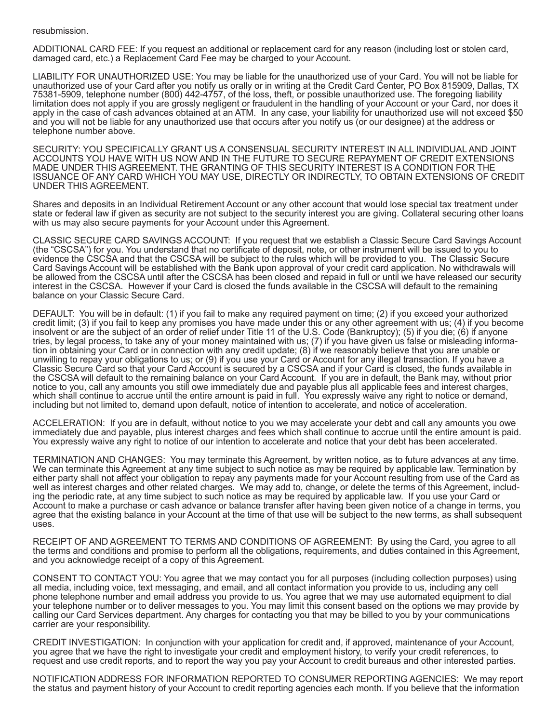## resubmission.

ADDITIONAL CARD FEE: If you request an additional or replacement card for any reason (including lost or stolen card, damaged card, etc.) a Replacement Card Fee may be charged to your Account.

LIABILITY FOR UNAUTHORIZED USE: You may be liable for the unauthorized use of your Card. You will not be liable for unauthorized use of your Card after you notify us orally or in writing at the Credit Card Center, PO Box 815909, Dallas, TX 75381-5909, telephone number (800) 442-4757, of the loss, theft, or possible unauthorized use. The foregoing liability limitation does not apply if you are grossly negligent or fraudulent in the handling of your Account or your Card, nor does it apply in the case of cash advances obtained at an ATM. In any case, your liability for unauthorized use will not exceed \$50 and you will not be liable for any unauthorized use that occurs after you notify us (or our designee) at the address or telephone number above.

SECURITY: YOU SPECIFICALLY GRANT US A CONSENSUAL SECURITY INTEREST IN ALL INDIVIDUAL AND JOINT ACCOUNTS YOU HAVE WITH US NOW AND IN THE FUTURE TO SECURE REPAYMENT OF CREDIT EXTENSIONS MADE UNDER THIS AGREEMENT. THE GRANTING OF THIS SECURITY INTEREST IS A CONDITION FOR THE ISSUANCE OF ANY CARD WHICH YOU MAY USE, DIRECTLY OR INDIRECTLY, TO OBTAIN EXTENSIONS OF CREDIT UNDER THIS AGREEMENT.

Shares and deposits in an Individual Retirement Account or any other account that would lose special tax treatment under state or federal law if given as security are not subject to the security interest you are giving. Collateral securing other loans with us may also secure payments for your Account under this Agreement.

CLASSIC SECURE CARD SAVINGS ACCOUNT: If you request that we establish a Classic Secure Card Savings Account (the "CSCSA") for you. You understand that no certificate of deposit, note, or other instrument will be issued to you to evidence the CSCSA and that the CSCSA will be subject to the rules which will be provided to you. The Classic Secure Card Savings Account will be established with the Bank upon approval of your credit card application. No withdrawals will be allowed from the CSCSA until after the CSCSA has been closed and repaid in full or until we have released our security interest in the CSCSA. However if your Card is closed the funds available in the CSCSA will default to the remaining balance on your Classic Secure Card.

DEFAULT: You will be in default: (1) if you fail to make any required payment on time; (2) if you exceed your authorized credit limit; (3) if you fail to keep any promises you have made under this or any other agreement with us; (4) if you become insolvent or are the subject of an order of relief under Title 11 of the U.S. Code (Bankruptcy); (5) if you die; (6) if anyone tries, by legal process, to take any of your money maintained with us; (7) if you have given us false or misleading information in obtaining your Card or in connection with any credit update; (8) if we reasonably believe that you are unable or unwilling to repay your obligations to us; or (9) if you use your Card or Account for any illegal transaction. If you have a Classic Secure Card so that your Card Account is secured by a CSCSA and if your Card is closed, the funds available in the CSCSA will default to the remaining balance on your Card Account. If you are in default, the Bank may, without prior notice to you, call any amounts you still owe immediately due and payable plus all applicable fees and interest charges, which shall continue to accrue until the entire amount is paid in full. You expressly waive any right to notice or demand, including but not limited to, demand upon default, notice of intention to accelerate, and notice of acceleration.

ACCELERATION: If you are in default, without notice to you we may accelerate your debt and call any amounts you owe immediately due and payable, plus interest charges and fees which shall continue to accrue until the entire amount is paid. You expressly waive any right to notice of our intention to accelerate and notice that your debt has been accelerated.

TERMINATION AND CHANGES: You may terminate this Agreement, by written notice, as to future advances at any time. We can terminate this Agreement at any time subject to such notice as may be required by applicable law. Termination by either party shall not affect your obligation to repay any payments made for your Account resulting from use of the Card as well as interest charges and other related charges. We may add to, change, or delete the terms of this Agreement, including the periodic rate, at any time subject to such notice as may be required by applicable law. If you use your Card or Account to make a purchase or cash advance or balance transfer after having been given notice of a change in terms, you agree that the existing balance in your Account at the time of that use will be subject to the new terms, as shall subsequent uses.

RECEIPT OF AND AGREEMENT TO TERMS AND CONDITIONS OF AGREEMENT: By using the Card, you agree to all the terms and conditions and promise to perform all the obligations, requirements, and duties contained in this Agreement, and you acknowledge receipt of a copy of this Agreement.

CONSENT TO CONTACT YOU: You agree that we may contact you for all purposes (including collection purposes) using all media, including voice, text messaging, and email, and all contact information you provide to us, including any cell phone telephone number and email address you provide to us. You agree that we may use automated equipment to dial your telephone number or to deliver messages to you. You may limit this consent based on the options we may provide by calling our Card Services department. Any charges for contacting you that may be billed to you by your communications carrier are your responsibility.

CREDIT INVESTIGATION: In conjunction with your application for credit and, if approved, maintenance of your Account, you agree that we have the right to investigate your credit and employment history, to verify your credit references, to request and use credit reports, and to report the way you pay your Account to credit bureaus and other interested parties.

NOTIFICATION ADDRESS FOR INFORMATION REPORTED TO CONSUMER REPORTING AGENCIES: We may report the status and payment history of your Account to credit reporting agencies each month. If you believe that the information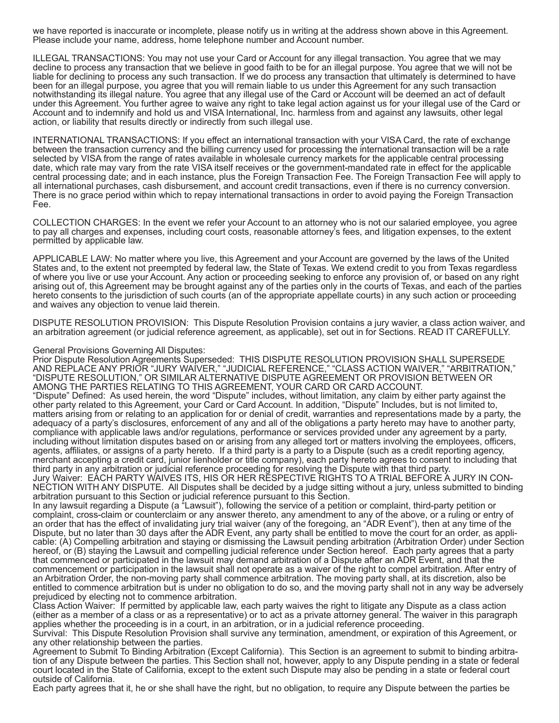we have reported is inaccurate or incomplete, please notify us in writing at the address shown above in this Agreement. Please include your name, address, home telephone number and Account number.

ILLEGAL TRANSACTIONS: You may not use your Card or Account for any illegal transaction. You agree that we may decline to process any transaction that we believe in good faith to be for an illegal purpose. You agree that we will not be liable for declining to process any such transaction. If we do process any transaction that ultimately is determined to have been for an illegal purpose, you agree that you will remain liable to us under this Agreement for any such transaction notwithstanding its illegal nature. You agree that any illegal use of the Card or Account will be deemed an act of default under this Agreement. You further agree to waive any right to take legal action against us for your illegal use of the Card or Account and to indemnify and hold us and VISA International, Inc. harmless from and against any lawsuits, other legal action, or liability that results directly or indirectly from such illegal use.

INTERNATIONAL TRANSACTIONS: If you effect an international transaction with your VISA Card, the rate of exchange between the transaction currency and the billing currency used for processing the international transaction will be a rate selected by VISA from the range of rates available in wholesale currency markets for the applicable central processing date, which rate may vary from the rate VISA itself receives or the government-mandated rate in effect for the applicable central processing date; and in each instance, plus the Foreign Transaction Fee. The Foreign Transaction Fee will apply to all international purchases, cash disbursement, and account credit transactions, even if there is no currency conversion. There is no grace period within which to repay international transactions in order to avoid paying the Foreign Transaction Fee.

COLLECTION CHARGES: In the event we refer your Account to an attorney who is not our salaried employee, you agree to pay all charges and expenses, including court costs, reasonable attorney's fees, and litigation expenses, to the extent permitted by applicable law.

APPLICABLE LAW: No matter where you live, this Agreement and your Account are governed by the laws of the United States and, to the extent not preempted by federal law, the State of Texas. We extend credit to you from Texas regardless of where you live or use your Account. Any action or proceeding seeking to enforce any provision of, or based on any right arising out of, this Agreement may be brought against any of the parties only in the courts of Texas, and each of the parties hereto consents to the jurisdiction of such courts (an of the appropriate appellate courts) in any such action or proceeding and waives any objection to venue laid therein.

DISPUTE RESOLUTION PROVISION: This Dispute Resolution Provision contains a jury wavier, a class action waiver, and an arbitration agreement (or judicial reference agreement, as applicable), set out in for Sections. READ IT CAREFULLY.

## General Provisions Governing All Disputes:

Prior Dispute Resolution Agreements Superseded: THIS DISPUTE RESOLUTION PROVISION SHALL SUPERSEDE AND REPLACE ANY PRIOR "JURY WAIVER," "JUDICIAL REFERENCE," "CLASS ACTION WAIVER," "ARBITRATION," "DISPUTE RESOLUTION," OR SIMILAR ALTERNATIVE DISPUTE AGREEMENT OR PROVISION BETWEEN OR AMONG THE PARTIES RELATING TO THIS AGREEMENT, YOUR CARD OR CARD ACCOUNT. "Dispute" Defined: As used herein, the word "Dispute" includes, without limitation, any claim by either party against the other party related to this Agreement, your Card or Card Account. In addition, "Dispute" Includes, but is not limited to, matters arising from or relating to an application for or denial of credit, warranties and representations made by a party, the adequacy of a party's disclosures, enforcement of any and all of the obligations a party hereto may have to another party,

compliance with applicable laws and/or regulations, performance or services provided under any agreement by a party, including without limitation disputes based on or arising from any alleged tort or matters involving the employees, officers, agents, affiliates, or assigns of a party hereto. If a third party is a party to a Dispute (such as a credit reporting agency, merchant accepting a credit card, junior lienholder or title company), each party hereto agrees to consent to including that third party in any arbitration or judicial reference proceeding for resolving the Dispute with that third party.

Jury Waiver: EACH PARTY WAIVES ITS, HIS OR HER RESPECTIVE RIGHTS TO A TRIAL BEFORE A JURY IN CON-NECTION WITH ANY DISPUTE. All Disputes shall be decided by a judge sitting without a jury, unless submitted to binding arbitration pursuant to this Section or judicial reference pursuant to this Section.

In any lawsuit regarding a Dispute (a "Lawsuit"), following the service of a petition or complaint, third-party petition or complaint, cross-claim or counterclaim or any answer thereto, any amendment to any of the above, or a ruling or entry of an order that has the effect of invalidating jury trial waiver (any of the foregoing, an "ADR Event"), then at any time of the Dispute, but no later than 30 days after the ADR Event, any party shall be entitled to move the court for an order, as applicable: (A) Compelling arbitration and staying or dismissing the Lawsuit pending arbitration (Arbitration Order) under Section hereof, or (B) staying the Lawsuit and compelling judicial reference under Section hereof. Each party agrees that a party that commenced or participated in the lawsuit may demand arbitration of a Dispute after an ADR Event, and that the commencement or participation in the lawsuit shall not operate as a waiver of the right to compel arbitration. After entry of an Arbitration Order, the non-moving party shall commence arbitration. The moving party shall, at its discretion, also be entitled to commence arbitration but is under no obligation to do so, and the moving party shall not in any way be adversely prejudiced by electing not to commence arbitration.

Class Action Waiver: If permitted by applicable law, each party waives the right to litigate any Dispute as a class action (either as a member of a class or as a representative) or to act as a private attorney general. The waiver in this paragraph applies whether the proceeding is in a court, in an arbitration, or in a judicial reference proceeding.

Survival: This Dispute Resolution Provision shall survive any termination, amendment, or expiration of this Agreement, or any other relationship between the parties.

Agreement to Submit To Binding Arbitration (Except California). This Section is an agreement to submit to binding arbitration of any Dispute between the parties. This Section shall not, however, apply to any Dispute pending in a state or federal court located in the State of California, except to the extent such Dispute may also be pending in a state or federal court outside of California.

Each party agrees that it, he or she shall have the right, but no obligation, to require any Dispute between the parties be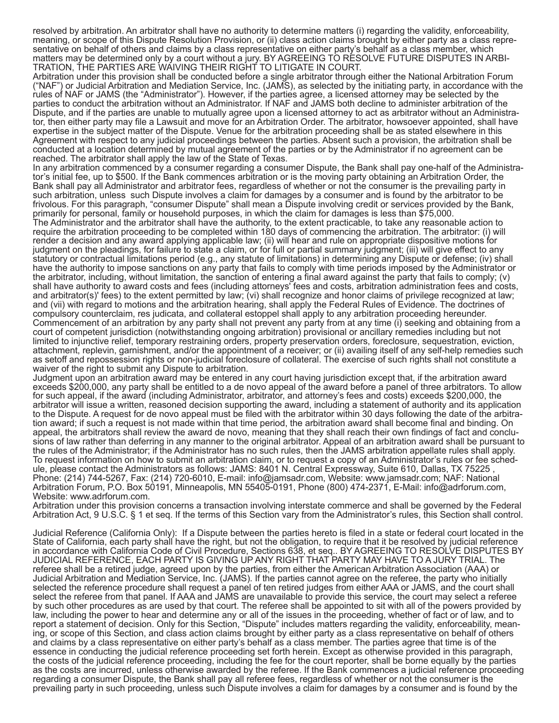resolved by arbitration. An arbitrator shall have no authority to determine matters (i) regarding the validity, enforceability, meaning, or scope of this Dispute Resolution Provision, or (ii) class action claims brought by either party as a class representative on behalf of others and claims by a class representative on either party's behalf as a class member, which matters may be determined only by a court without a jury. BY AGREEING TO RESOLVE FUTURE DISPUTES IN ARBI-TRATION, THE PARTIES ARE WAIVING THEIR RIGHT TO LITIGATE IN COURT.

Arbitration under this provision shall be conducted before a single arbitrator through either the National Arbitration Forum ("NAF") or Judicial Arbitration and Mediation Service, Inc. (JAMS), as selected by the initiating party, in accordance with the rules of NAF or JAMS (the "Administrator"). However, if the parties agree, a licensed attorney may be selected by the parties to conduct the arbitration without an Administrator. If NAF and JAMS both decline to administer arbitration of the Dispute, and if the parties are unable to mutually agree upon a licensed attorney to act as arbitrator without an Administrator, then either party may file a Lawsuit and move for an Arbitration Order. The arbitrator, howsoever appointed, shall have expertise in the subject matter of the Dispute. Venue for the arbitration proceeding shall be as stated elsewhere in this Agreement with respect to any judicial proceedings between the parties. Absent such a provision, the arbitration shall be conducted at a location determined by mutual agreement of the parties or by the Administrator if no agreement can be reached. The arbitrator shall apply the law of the State of Texas.

In any arbitration commenced by a consumer regarding a consumer Dispute, the Bank shall pay one-half of the Administrator's initial fee, up to \$500. If the Bank commences arbitration or is the moving party obtaining an Arbitration Order, the Bank shall pay all Administrator and arbitrator fees, regardless of whether or not the consumer is the prevailing party in such arbitration, unless such Dispute involves a claim for damages by a consumer and is found by the arbitrator to be frivolous. For this paragraph, "consumer Dispute" shall mean a Dispute involving credit or services provided by the Bank, primarily for personal, family or household purposes, in which the claim for damages is less than \$75,000.

The Administrator and the arbitrator shall have the authority, to the extent practicable, to take any reasonable action to require the arbitration proceeding to be completed within 180 days of commencing the arbitration. The arbitrator: (i) will render a decision and any award applying applicable law; (ii) will hear and rule on appropriate dispositive motions for judgment on the pleadings, for failure to state a claim, or for full or partial summary judgment; (iii) will give effect to any statutory or contractual limitations period (e.g., any statute of limitations) in determining any Dispute or defense; (iv) shall have the authority to impose sanctions on any party that fails to comply with time periods imposed by the Administrator or the arbitrator, including, without limitation, the sanction of entering a final award against the party that fails to comply; (v) shall have authority to award costs and fees (including attorneys' fees and costs, arbitration administration fees and costs, and arbitrator(s)' fees) to the extent permitted by law; (vi) shall recognize and honor claims of privilege recognized at law; and (vii) with regard to motions and the arbitration hearing, shall apply the Federal Rules of Evidence. The doctrines of compulsory counterclaim, res judicata, and collateral estoppel shall apply to any arbitration proceeding hereunder. Commencement of an arbitration by any party shall not prevent any party from at any time (i) seeking and obtaining from a court of competent jurisdiction (notwithstanding ongoing arbitration) provisional or ancillary remedies including but not limited to injunctive relief, temporary restraining orders, property preservation orders, foreclosure, sequestration, eviction, attachment, replevin, garnishment, and/or the appointment of a receiver; or (ii) availing itself of any self-help remedies such as setoff and repossession rights or non-judicial foreclosure of collateral. The exercise of such rights shall not constitute a waiver of the right to submit any Dispute to arbitration.

Judgment upon an arbitration award may be entered in any court having jurisdiction except that, if the arbitration award exceeds \$200,000, any party shall be entitled to a de novo appeal of the award before a panel of three arbitrators. To allow for such appeal, if the award (including Administrator, arbitrator, and attorney's fees and costs) exceeds \$200,000, the arbitrator will issue a written, reasoned decision supporting the award, including a statement of authority and its application to the Dispute. A request for de novo appeal must be filed with the arbitrator within 30 days following the date of the arbitration award; if such a request is not made within that time period, the arbitration award shall become final and binding. On appeal, the arbitrators shall review the award de novo, meaning that they shall reach their own findings of fact and conclusions of law rather than deferring in any manner to the original arbitrator. Appeal of an arbitration award shall be pursuant to the rules of the Administrator; if the Administrator has no such rules, then the JAMS arbitration appellate rules shall apply. To request information on how to submit an arbitration claim, or to request a copy of an Administrator's rules or fee schedule, please contact the Administrators as follows: JAMS: 8401 N. Central Expressway, Suite 610, Dallas, TX 75225 , Phone: (214) 744-5267, Fax: (214) 720-6010, E-mail: info@jamsadr.com, Website: www.jamsadr.com; NAF: National Arbitration Forum, P.O. Box 50191, Minneapolis, MN 55405-0191, Phone (800) 474-2371, E-Mail: info@adrforum.com, Website: www.adrforum.com.

Arbitration under this provision concerns a transaction involving interstate commerce and shall be governed by the Federal Arbitration Act, 9 U.S.C. § 1 et seq. If the terms of this Section vary from the Administrator's rules, this Section shall control.

Judicial Reference (California Only): If a Dispute between the parties hereto is filed in a state or federal court located in the State of California, each party shall have the right, but not the obligation, to require that it be resolved by judicial reference in accordance with California Code of Civil Procedure, Sections 638, et seq.. BY AGREEING TO RESOLVE DISPUTES BY JUDICIAL REFERENCE, EACH PARTY IS GIVING UP ANY RIGHT THAT PARTY MAY HAVE TO A JURY TRIAL. The referee shall be a retired judge, agreed upon by the parties, from either the American Arbitration Association (AAA) or Judicial Arbitration and Mediation Service, Inc. (JAMS). If the parties cannot agree on the referee, the party who initially selected the reference procedure shall request a panel of ten retired judges from either AAA or JAMS, and the court shall select the referee from that panel. If AAA and JAMS are unavailable to provide this service, the court may select a referee by such other procedures as are used by that court. The referee shall be appointed to sit with all of the powers provided by law, including the power to hear and determine any or all of the issues in the proceeding, whether of fact or of law, and to report a statement of decision. Only for this Section, "Dispute" includes matters regarding the validity, enforceability, meaning, or scope of this Section, and class action claims brought by either party as a class representative on behalf of others and claims by a class representative on either party's behalf as a class member. The parties agree that time is of the essence in conducting the judicial reference proceeding set forth herein. Except as otherwise provided in this paragraph, the costs of the judicial reference proceeding, including the fee for the court reporter, shall be borne equally by the parties as the costs are incurred, unless otherwise awarded by the referee. If the Bank commences a judicial reference proceeding regarding a consumer Dispute, the Bank shall pay all referee fees, regardless of whether or not the consumer is the prevailing party in such proceeding, unless such Dispute involves a claim for damages by a consumer and is found by the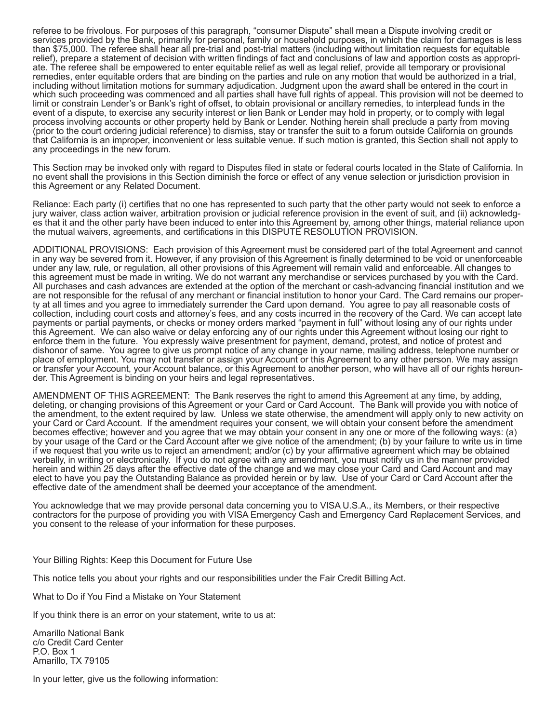referee to be frivolous. For purposes of this paragraph, "consumer Dispute" shall mean a Dispute involving credit or services provided by the Bank, primarily for personal, family or household purposes, in which the claim for damages is less than \$75,000. The referee shall hear all pre-trial and post-trial matters (including without limitation requests for equitable relief), prepare a statement of decision with written findings of fact and conclusions of law and apportion costs as appropriate. The referee shall be empowered to enter equitable relief as well as legal relief, provide all temporary or provisional remedies, enter equitable orders that are binding on the parties and rule on any motion that would be authorized in a trial, including without limitation motions for summary adjudication. Judgment upon the award shall be entered in the court in which such proceeding was commenced and all parties shall have full rights of appeal. This provision will not be deemed to limit or constrain Lender's or Bank's right of offset, to obtain provisional or ancillary remedies, to interplead funds in the event of a dispute, to exercise any security interest or lien Bank or Lender may hold in property, or to comply with legal process involving accounts or other property held by Bank or Lender. Nothing herein shall preclude a party from moving (prior to the court ordering judicial reference) to dismiss, stay or transfer the suit to a forum outside California on grounds that California is an improper, inconvenient or less suitable venue. If such motion is granted, this Section shall not apply to any proceedings in the new forum.

This Section may be invoked only with regard to Disputes filed in state or federal courts located in the State of California. In no event shall the provisions in this Section diminish the force or effect of any venue selection or jurisdiction provision in this Agreement or any Related Document.

Reliance: Each party (i) certifies that no one has represented to such party that the other party would not seek to enforce a jury waiver, class action waiver, arbitration provision or judicial reference provision in the event of suit, and (ii) acknowledges that it and the other party have been induced to enter into this Agreement by, among other things, material reliance upon the mutual waivers, agreements, and certifications in this DISPUTE RESOLUTION PROVISION.

ADDITIONAL PROVISIONS: Each provision of this Agreement must be considered part of the total Agreement and cannot in any way be severed from it. However, if any provision of this Agreement is finally determined to be void or unenforceable under any law, rule, or regulation, all other provisions of this Agreement will remain valid and enforceable. All changes to this agreement must be made in writing. We do not warrant any merchandise or services purchased by you with the Card. All purchases and cash advances are extended at the option of the merchant or cash-advancing financial institution and we are not responsible for the refusal of any merchant or financial institution to honor your Card. The Card remains our property at all times and you agree to immediately surrender the Card upon demand. You agree to pay all reasonable costs of collection, including court costs and attorney's fees, and any costs incurred in the recovery of the Card. We can accept late payments or partial payments, or checks or money orders marked "payment in full" without losing any of our rights under this Agreement. We can also waive or delay enforcing any of our rights under this Agreement without losing our right to enforce them in the future. You expressly waive presentment for payment, demand, protest, and notice of protest and dishonor of same. You agree to give us prompt notice of any change in your name, mailing address, telephone number or place of employment. You may not transfer or assign your Account or this Agreement to any other person. We may assign or transfer your Account, your Account balance, or this Agreement to another person, who will have all of our rights hereunder. This Agreement is binding on your heirs and legal representatives.

AMENDMENT OF THIS AGREEMENT: The Bank reserves the right to amend this Agreement at any time, by adding, deleting, or changing provisions of this Agreement or your Card or Card Account. The Bank will provide you with notice of the amendment, to the extent required by law. Unless we state otherwise, the amendment will apply only to new activity on your Card or Card Account. If the amendment requires your consent, we will obtain your consent before the amendment becomes effective; however and you agree that we may obtain your consent in any one or more of the following ways: (a) by your usage of the Card or the Card Account after we give notice of the amendment; (b) by your failure to write us in time if we request that you write us to reject an amendment; and/or (c) by your affirmative agreement which may be obtained verbally, in writing or electronically. If you do not agree with any amendment, you must notify us in the manner provided herein and within 25 days after the effective date of the change and we may close your Card and Card Account and may elect to have you pay the Outstanding Balance as provided herein or by law. Use of your Card or Card Account after the effective date of the amendment shall be deemed your acceptance of the amendment.

You acknowledge that we may provide personal data concerning you to VISA U.S.A., its Members, or their respective contractors for the purpose of providing you with VISA Emergency Cash and Emergency Card Replacement Services, and you consent to the release of your information for these purposes.

Your Billing Rights: Keep this Document for Future Use

This notice tells you about your rights and our responsibilities under the Fair Credit Billing Act.

What to Do if You Find a Mistake on Your Statement

If you think there is an error on your statement, write to us at:

Amarillo National Bank c/o Credit Card Center P.O. Box 1 Amarillo, TX 79105

In your letter, give us the following information: